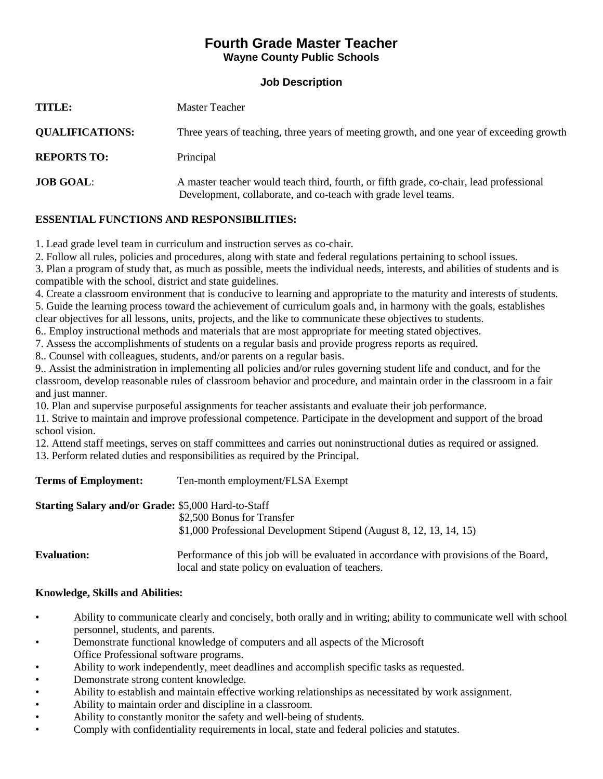## **Fourth Grade Master Teacher Wayne County Public Schools**

| TITLE:                 | Master Teacher                                                                                                                                            |
|------------------------|-----------------------------------------------------------------------------------------------------------------------------------------------------------|
| <b>QUALIFICATIONS:</b> | Three years of teaching, three years of meeting growth, and one year of exceeding growth                                                                  |
| <b>REPORTS TO:</b>     | Principal                                                                                                                                                 |
| <b>JOB GOAL:</b>       | A master teacher would teach third, fourth, or fifth grade, co-chair, lead professional<br>Development, collaborate, and co-teach with grade level teams. |

## **ESSENTIAL FUNCTIONS AND RESPONSIBILITIES:**

1. Lead grade level team in curriculum and instruction serves as co-chair.

2. Follow all rules, policies and procedures, along with state and federal regulations pertaining to school issues.

3. Plan a program of study that, as much as possible, meets the individual needs, interests, and abilities of students and is compatible with the school, district and state guidelines.

4. Create a classroom environment that is conducive to learning and appropriate to the maturity and interests of students. 5. Guide the learning process toward the achievement of curriculum goals and, in harmony with the goals, establishes

clear objectives for all lessons, units, projects, and the like to communicate these objectives to students. 6.. Employ instructional methods and materials that are most appropriate for meeting stated objectives.

7. Assess the accomplishments of students on a regular basis and provide progress reports as required.

8.. Counsel with colleagues, students, and/or parents on a regular basis.

9.. Assist the administration in implementing all policies and/or rules governing student life and conduct, and for the classroom, develop reasonable rules of classroom behavior and procedure, and maintain order in the classroom in a fair and just manner.

10. Plan and supervise purposeful assignments for teacher assistants and evaluate their job performance.

11. Strive to maintain and improve professional competence. Participate in the development and support of the broad school vision.

12. Attend staff meetings, serves on staff committees and carries out noninstructional duties as required or assigned. 13. Perform related duties and responsibilities as required by the Principal.

**Terms of Employment:** Ten-month employment/FLSA Exempt

## **Starting Salary and/or Grade:** \$5,000 Hard-to-Staff

\$2,500 Bonus for Transfer

\$1,000 Professional Development Stipend (August 8, 12, 13, 14, 15)

**Evaluation:** Performance of this job will be evaluated in accordance with provisions of the Board, local and state policy on evaluation of teachers.

## **Knowledge, Skills and Abilities:**

- Ability to communicate clearly and concisely, both orally and in writing; ability to communicate well with school personnel, students, and parents.
- Demonstrate functional knowledge of computers and all aspects of the Microsoft Office Professional software programs.
- Ability to work independently, meet deadlines and accomplish specific tasks as requested.
- Demonstrate strong content knowledge.
- Ability to establish and maintain effective working relationships as necessitated by work assignment.
- Ability to maintain order and discipline in a classroom.
- Ability to constantly monitor the safety and well-being of students.
- Comply with confidentiality requirements in local, state and federal policies and statutes.